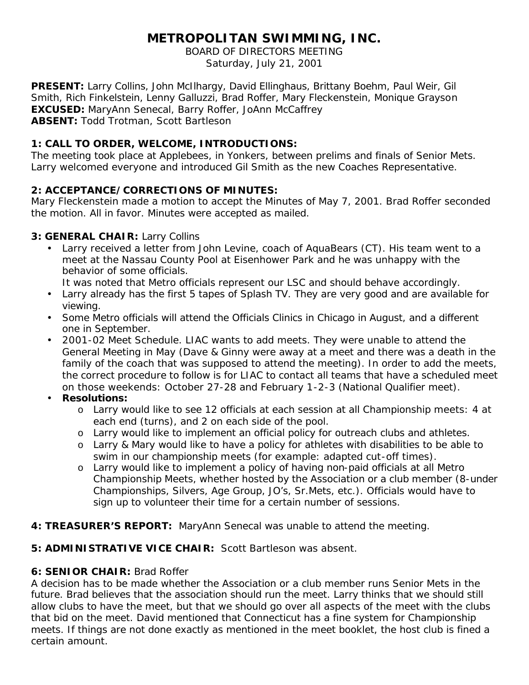# **METROPOLITAN SWIMMING, INC.**

BOARD OF DIRECTORS MEETING Saturday, July 21, 2001

**PRESENT:** Larry Collins, John McIlhargy, David Ellinghaus, Brittany Boehm, Paul Weir, Gil Smith, Rich Finkelstein, Lenny Galluzzi, Brad Roffer, Mary Fleckenstein, Monique Grayson **EXCUSED:** MaryAnn Senecal, Barry Roffer, JoAnn McCaffrey **ABSENT:** Todd Trotman, Scott Bartleson

## **1: CALL TO ORDER, WELCOME, INTRODUCTIONS:**

The meeting took place at Applebees, in Yonkers, between prelims and finals of Senior Mets. Larry welcomed everyone and introduced Gil Smith as the new Coaches Representative.

## **2: ACCEPTANCE/CORRECTIONS OF MINUTES:**

Mary Fleckenstein made a motion to accept the Minutes of May 7, 2001. Brad Roffer seconded the motion. All in favor. Minutes were accepted as mailed.

#### **3: GENERAL CHAIR:** Larry Collins

Larry received a letter from John Levine, coach of AquaBears (CT). His team went to a meet at the Nassau County Pool at Eisenhower Park and he was unhappy with the behavior of some officials.

It was noted that Metro officials represent our LSC and should behave accordingly.

- Larry already has the first 5 tapes of Splash TV. They are very good and are available for viewing.
- Some Metro officials will attend the Officials Clinics in Chicago in August, and a different one in September.
- 2001-02 Meet Schedule. LIAC wants to add meets. They were unable to attend the General Meeting in May (Dave & Ginny were away at a meet and there was a death in the family of the coach that was supposed to attend the meeting). In order to add the meets, the correct procedure to follow is for LIAC to contact all teams that have a scheduled meet on those weekends: October 27-28 and February 1-2-3 (National Qualifier meet).
- **Resolutions:**
	- o Larry would like to see 12 officials at each session at all Championship meets: 4 at each end (turns), and 2 on each side of the pool.
	- o Larry would like to implement an official policy for outreach clubs and athletes.
	- o Larry & Mary would like to have a policy for athletes with disabilities to be able to swim in our championship meets (for example: adapted cut-off times).
	- o Larry would like to implement a policy of having non-paid officials at all Metro Championship Meets, whether hosted by the Association or a club member (8-under Championships, Silvers, Age Group, JO's, Sr.Mets, etc.). Officials would have to sign up to volunteer their time for a certain number of sessions.
- **4: TREASURER'S REPORT:** MaryAnn Senecal was unable to attend the meeting.

#### **5: ADMINISTRATIVE VICE CHAIR:** Scott Bartleson was absent.

#### **6: SENIOR CHAIR:** Brad Roffer

A decision has to be made whether the Association or a club member runs Senior Mets in the future. Brad believes that the association should run the meet. Larry thinks that we should still allow clubs to have the meet, but that we should go over all aspects of the meet with the clubs that bid on the meet. David mentioned that Connecticut has a fine system for Championship meets. If things are not done exactly as mentioned in the meet booklet, the host club is fined a certain amount.